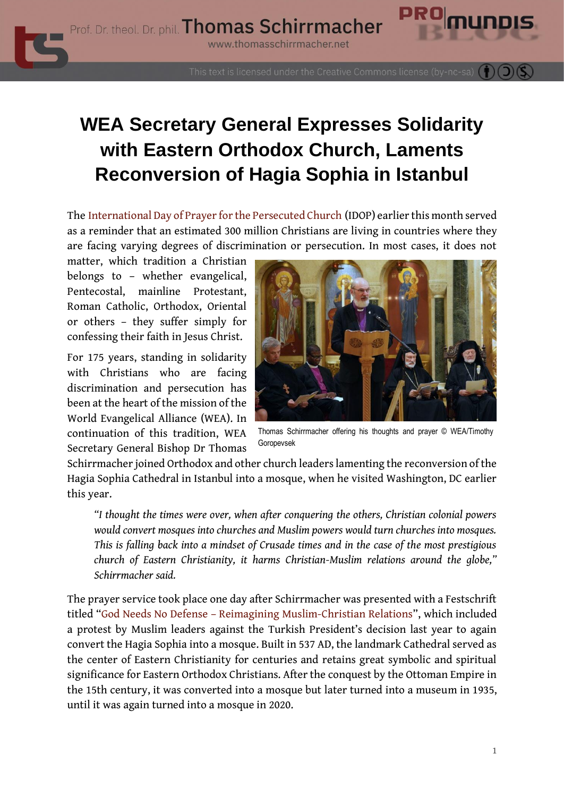

This text is licensed under the Creative Commons license (by-nc-sa)

# **WEA Secretary General Expresses Solidarity with Eastern Orthodox Church, Laments Reconversion of Hagia Sophia in Istanbul**

The [International Day of Prayer for the Persecuted Church](https://www.thomasschirrmacher.net/blog/blessed-are-the-persecuted/) (IDOP) earlier this month served as a reminder that an estimated 300 million Christians are living in countries where they are facing varying degrees of discrimination or persecution. In most cases, it does not

matter, which tradition a Christian belongs to – whether evangelical, Pentecostal, mainline Protestant, Roman Catholic, Orthodox, Oriental or others – they suffer simply for confessing their faith in Jesus Christ.

For 175 years, standing in solidarity with Christians who are facing discrimination and persecution has been at the heart of the mission of the World Evangelical Alliance (WEA). In continuation of this tradition, WEA Secretary General Bishop Dr Thomas



Thomas Schirrmacher offering his thoughts and prayer © WEA/Timothy Goropevsek

Schirrmacher joined Orthodox and other church leaders lamenting the reconversion of the Hagia Sophia Cathedral in Istanbul into a mosque, when he visited Washington, DC earlier this year.

*"I thought the times were over, when after conquering the others, Christian colonial powers would convert mosques into churches and Muslim powers would turn churches into mosques. This is falling back into a mindset of Crusade times and in the case of the most prestigious church of Eastern Christianity, it harms Christian-Muslim relations around the globe," Schirrmacher said.*

The prayer service took place one day after Schirrmacher was presented with a Festschrift titled "God Needs No Defense – [Reimagining Muslim-Christian Relations](https://www.thomasschirrmacher.info/wp-content/uploads/2021/11/978-3-86269-223-1_Festschrift.pdf)", which included a protest by Muslim leaders against the Turkish President's decision last year to again convert the Hagia Sophia into a mosque. Built in 537 AD, the landmark Cathedral served as the center of Eastern Christianity for centuries and retains great symbolic and spiritual significance for Eastern Orthodox Christians. After the conquest by the Ottoman Empire in the 15th century, it was converted into a mosque but later turned into a museum in 1935, until it was again turned into a mosque in 2020.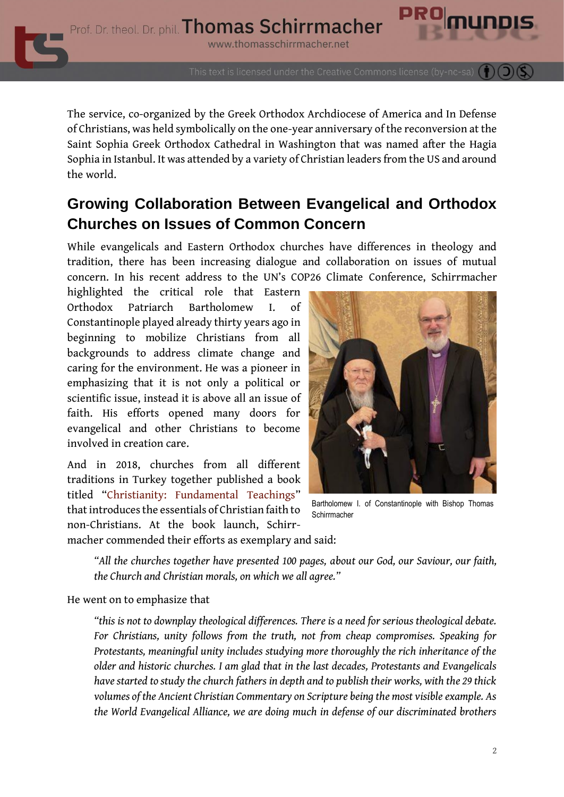Prof. Dr. theol. Dr. phil. Thomas Schirrmacher

www.thomasschirrmacher.net

This text is licensed under the Creative Commons license (by-nc-sa)

The service, co-organized by the Greek Orthodox Archdiocese of America and In Defense of Christians, was held symbolically on the one-year anniversary of the reconversion at the Saint Sophia Greek Orthodox Cathedral in Washington that was named after the Hagia Sophia in Istanbul. It was attended by a variety of Christian leaders from the US and around the world.

## **Growing Collaboration Between Evangelical and Orthodox Churches on Issues of Common Concern**

While evangelicals and Eastern Orthodox churches have differences in theology and tradition, there has been increasing dialogue and collaboration on issues of mutual concern. In his recent address to the UN's COP26 Climate Conference, Schirrmacher

highlighted the critical role that Eastern Orthodox Patriarch Bartholomew I. of Constantinople played already thirty years ago in beginning to mobilize Christians from all backgrounds to address climate change and caring for the environment. He was a pioneer in emphasizing that it is not only a political or scientific issue, instead it is above all an issue of faith. His efforts opened many doors for evangelical and other Christians to become involved in creation care.

And in 2018, churches from all different traditions in Turkey together published a book titled "[Christianity: Fundamental Teachings](https://www.thomasschirrmacher.net/blog/wea-welcomes-book-christianity-by-all-churches-in-turkey/)" that introduces the essentials of Christian faith to non-Christians. At the book launch, Schirrmacher commended their efforts as exemplary and said:



Bartholomew I. of Constantinople with Bishop Thomas **Schirrmacher** 

*"All the churches together have presented 100 pages, about our God, our Saviour, our faith, the Church and Christian morals, on which we all agree."*

He went on to emphasize that

*"this is not to downplay theological differences. There is a need for serious theological debate. For Christians, unity follows from the truth, not from cheap compromises. Speaking for Protestants, meaningful unity includes studying more thoroughly the rich inheritance of the older and historic churches. I am glad that in the last decades, Protestants and Evangelicals have started to study the church fathers in depth and to publish their works, with the 29 thick volumes of the Ancient Christian Commentary on Scripture being the most visible example. As the World Evangelical Alliance, we are doing much in defense of our discriminated brothers*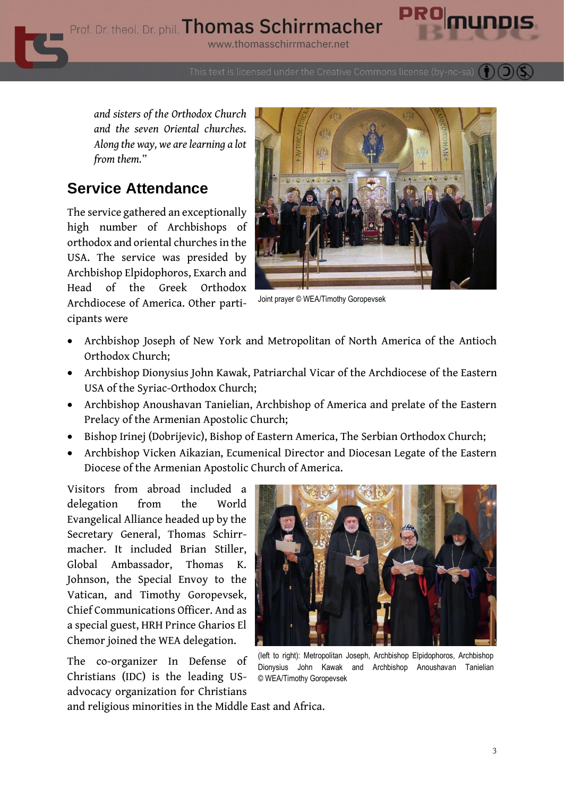Prof. Dr. theol. Dr. phil. Thomas Schirrmacher

www.thomasschirrmacher.net

This text is licensed under the Creative Commons license (by-nc-sa)

*and sisters of the Orthodox Church and the seven Oriental churches. Along the way, we are learning a lot from them."*

#### **Service Attendance**

The service gathered an exceptionally high number of Archbishops of orthodox and oriental churches in the USA. The service was presided by Archbishop Elpidophoros, Exarch and Head of the Greek Orthodox Archdiocese of America. Other participants were



Joint prayer © WEA/Timothy Goropevsek

- Archbishop Joseph of New York and Metropolitan of North America of the Antioch Orthodox Church;
- Archbishop Dionysius John Kawak, Patriarchal Vicar of the Archdiocese of the Eastern USA of the Syriac-Orthodox Church;
- Archbishop Anoushavan Tanielian, Archbishop of America and prelate of the Eastern Prelacy of the Armenian Apostolic Church;
- Bishop Irinej (Dobrijevic), Bishop of Eastern America, The Serbian Orthodox Church;
- Archbishop Vicken Aikazian, Ecumenical Director and Diocesan Legate of the Eastern Diocese of the Armenian Apostolic Church of America.

Visitors from abroad included a delegation from the World Evangelical Alliance headed up by the Secretary General, Thomas Schirrmacher. It included Brian Stiller, Global Ambassador, Thomas K. Johnson, the Special Envoy to the Vatican, and Timothy Goropevsek, Chief Communications Officer. And as a special guest, HRH Prince Gharios El Chemor joined the WEA delegation.

The co-organizer In Defense of Christians (IDC) is the leading USadvocacy organization for Christians



(left to right): Metropolitan Joseph, Archbishop Elpidophoros, Archbishop Dionysius John Kawak and Archbishop Anoushavan Tanielian © WEA/Timothy Goropevsek

and religious minorities in the Middle East and Africa.